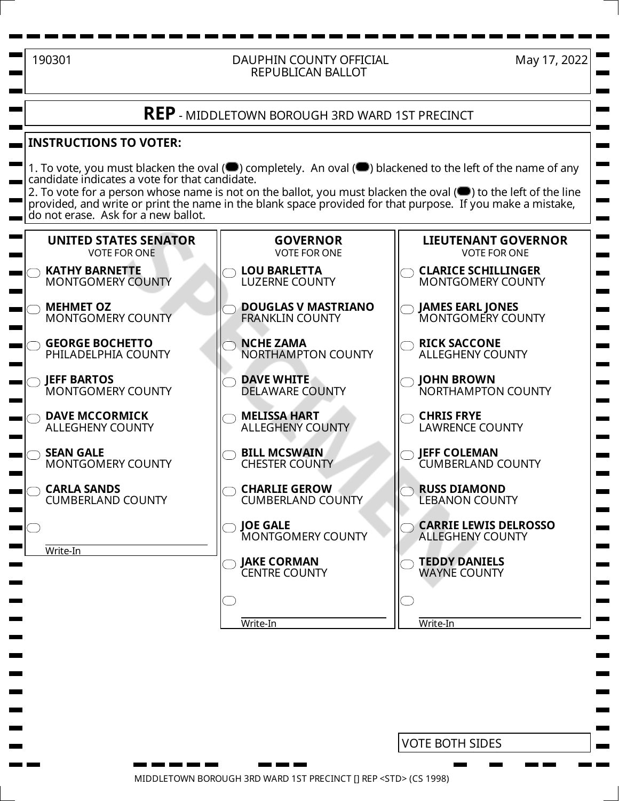## 190301 DAUPHIN COUNTY OFFICIAL REPUBLICAN BALLOT

May 17, 2022

## **REP** - MIDDLETOWN BOROUGH 3RD WARD 1ST PRECINCT

## **INSTRUCTIONS TO VOTER:**

1. To vote, you must blacken the oval ( $\blacksquare$ ) completely. An oval ( $\blacksquare$ ) blackened to the left of the name of any candidate indicates a vote for that candidate.

2. To vote for a person whose name is not on the ballot, you must blacken the oval  $($ **)** to the left of the line provided, and write or print the name in the blank space provided for that purpose. If you make a mistake, do not erase. Ask for a new ballot.